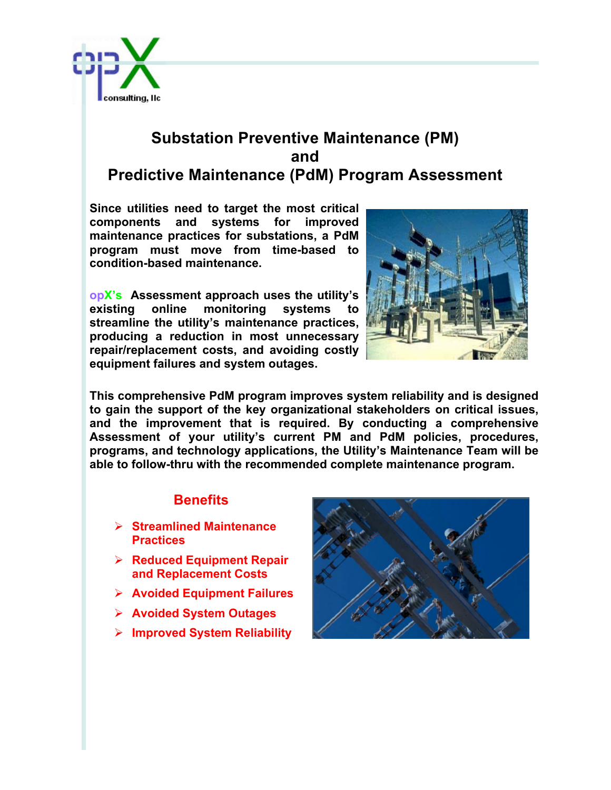

## **Substation Preventive Maintenance (PM) and Predictive Maintenance (PdM) Program Assessment**

**Since utilities need to target the most critical components and systems for improved maintenance practices for substations, a PdM program must move from time-based to condition-based maintenance.** 

**opX's Assessment approach uses the utility's existing online monitoring systems to streamline the utility's maintenance practices, producing a reduction in most unnecessary repair/replacement costs, and avoiding costly equipment failures and system outages.**



**This comprehensive PdM program improves system reliability and is designed to gain the support of the key organizational stakeholders on critical issues, and the improvement that is required. By conducting a comprehensive Assessment of your utility's current PM and PdM policies, procedures, programs, and technology applications, the Utility's Maintenance Team will be able to follow-thru with the recommended complete maintenance program.** 

## **Benefits**

- Ø **Streamlined Maintenance Practices**
- Ø **Reduced Equipment Repair and Replacement Costs**
- Ø **Avoided Equipment Failures**
- Ø **Avoided System Outages**
- Ø **Improved System Reliability**